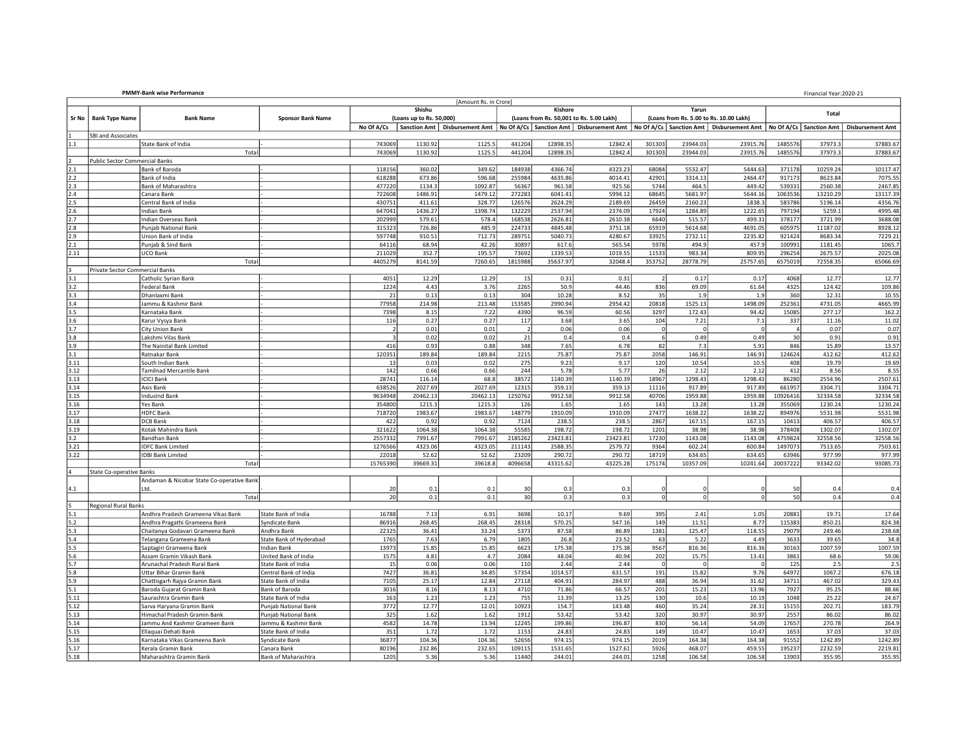| <b>PMMY-Bank wise Performance</b><br>Financial Year:2020-21 |                                       |                                           |                          |                          |                          |                       |                |          |                                                                                                                                          |                |                                         |             |                |          |                         |
|-------------------------------------------------------------|---------------------------------------|-------------------------------------------|--------------------------|--------------------------|--------------------------|-----------------------|----------------|----------|------------------------------------------------------------------------------------------------------------------------------------------|----------------|-----------------------------------------|-------------|----------------|----------|-------------------------|
|                                                             |                                       |                                           |                          |                          |                          | [Amount Rs. in Crore] |                |          |                                                                                                                                          |                |                                         |             |                |          |                         |
|                                                             |                                       |                                           |                          |                          | Shishu                   |                       |                | Kishore  |                                                                                                                                          |                | Tarun                                   |             |                | Total    |                         |
| Sr No                                                       | <b>Bank Type Name</b>                 | <b>Bank Name</b>                          | <b>Sponsor Bank Name</b> |                          | (Loans up to Rs. 50,000) |                       |                |          | (Loans from Rs. 50,001 to Rs. 5.00 Lakh)                                                                                                 |                | (Loans from Rs. 5.00 to Rs. 10.00 Lakh) |             |                |          |                         |
|                                                             |                                       |                                           |                          | No Of A/Cs               | Sanction Amt             |                       |                |          | Disbursement Amt No Of A/Cs   Sanction Amt   Disbursement Amt   No Of A/Cs   Sanction Amt   Disbursement Amt   No Of A/Cs   Sanction Amt |                |                                         |             |                |          | <b>Disbursement Amt</b> |
|                                                             | SBI and Associates                    |                                           |                          |                          |                          |                       |                |          |                                                                                                                                          |                |                                         |             |                |          |                         |
| 1.1                                                         |                                       | State Bank of India                       |                          | 743069                   | 1130.92                  | 1125.5                | 441204         | 12898.35 | 12842.4                                                                                                                                  | 301303         | 23944.03                                | 23915.76    | 1485576        | 37973.3  | 37883.67                |
|                                                             |                                       | Total                                     |                          | 743069                   | 1130.92                  | 1125.5                | 441204         | 12898.35 | 12842.4                                                                                                                                  | 301303         | 23944.03                                | 23915.76    | 1485576        | 37973.3  | 37883.67                |
|                                                             | <b>Public Sector Commercial Banks</b> |                                           |                          |                          |                          |                       |                |          |                                                                                                                                          |                |                                         |             |                |          |                         |
| 2.1                                                         |                                       | Bank of Baroda                            |                          | 118156                   | 360.02                   | 349.62                | 184938         | 4366.74  | 4323.23                                                                                                                                  | 68084          | 5532.47                                 | 5444.63     | 371178         | 10259.24 | 10117.47                |
| 2.2                                                         |                                       | Bank of India                             |                          | 618288                   | 673.86                   | 596.68                | 255984         | 4635.86  | 4014.41                                                                                                                                  | 42901          | 3314.13                                 | 2464.47     | 917173         | 8623.84  | 7075.55                 |
| 2.3                                                         |                                       | Bank of Maharashtra                       |                          | 477220                   | 1134.3                   | 1092.87               | 56367          | 961.58   | 925.56                                                                                                                                   | 5744           | 464.5                                   | 449.42      | 539331         | 2560.38  | 2467.85                 |
| 2.4                                                         |                                       | Canara Bank                               |                          | 722608                   | 1486.91                  | 1479.12               | 272283         | 6041.41  | 5994.12                                                                                                                                  | 68645          | 5681.97                                 | 5644.16     | 1063536        | 13210.29 | 13117.39                |
| 2.5                                                         |                                       | Central Bank of India                     |                          | 430751                   | 411.61                   | 328.77                | 126576         | 2624.29  | 2189.69                                                                                                                                  | 26459          | 2160.23                                 | 1838.3      | 583786         | 5196.14  | 4356.76                 |
| 2.6                                                         |                                       | Indian Bank                               |                          | 647041                   | 1436.27                  | 1398.74               | 132229         | 2537.94  | 2374.09                                                                                                                                  | 17924          | 1284.89                                 | 1222.65     | 797194         | 5259.1   | 4995.48                 |
| 2.7                                                         |                                       | Indian Overseas Bank                      |                          | 202999                   | 579.61                   | 578.4                 | 168538         | 2626.81  | 2610.38                                                                                                                                  | 6640           | 515.57                                  | 499.31      | 378177         | 3721.99  | 3688.08                 |
| 2.8                                                         |                                       | Punjab National Bank                      |                          | 315323                   | 726.86                   | 485.9                 | 224733         | 4845.48  | 3751.18                                                                                                                                  | 65919          | 5614.68                                 | 4691.05     | 605975         | 11187.02 | 8928.12                 |
| 2.9                                                         |                                       | Union Bank of India                       |                          | 597748                   | 910.51                   | 712.73                | 289751         | 5040.73  | 4280.67                                                                                                                                  | 33925          | 2732.11                                 | 2235.82     | 921424         | 8683.34  | 7229.21                 |
| 2.1                                                         |                                       | Punjab & Sind Bank                        |                          | 64116                    | 68.94                    | 42.26                 | 30897          | 617.6    | 565.54                                                                                                                                   | 5978           | 494.9                                   | 457.9       | 100991         | 1181.45  | 1065.7                  |
| 2.11                                                        |                                       | UCO Bank                                  |                          | 211029                   | 352.7                    | 195.57                | 73692          | 1339.53  | 1019.55                                                                                                                                  | 11533          | 983.34                                  | 809.95      | 296254         | 2675.57  | 2025.08                 |
|                                                             |                                       | Total                                     |                          | 4405279                  | 8141.59                  | 7260.65               | 1815988        | 35637.97 | 32048.4                                                                                                                                  | 353752         | 28778.79                                | 25757.65    | 6575019        | 72558.35 | 65066.69                |
|                                                             | Private Sector Commercial Banks       |                                           |                          |                          |                          |                       |                |          |                                                                                                                                          |                |                                         |             |                |          |                         |
| 3.1                                                         |                                       | Catholic Syrian Bank                      |                          | 4051                     | 12.29                    | 12.29                 | 15             | 0.31     | 0.31                                                                                                                                     | $\overline{2}$ | 0.17                                    | 0.17        | 4068           | 12.77    | 12.77                   |
| 3.2                                                         |                                       | <b>Federal Bank</b>                       |                          | 1224                     | 4.43                     | 3.76                  | 2265           | 50.9     | 44.46                                                                                                                                    | 836            | 69.09                                   | 61.64       | 4325           | 124.42   | 109.86                  |
| 3.3                                                         |                                       | Dhanlaxmi Bank                            |                          | 21                       | 0.13                     | 0.13                  | 304            | 10.28    | 8.52                                                                                                                                     | 35             | 1.9                                     | 1.9         | 360            | 12.31    | 10.55                   |
| 3.4                                                         |                                       | Jammu & Kashmir Bank                      |                          | 77958                    | 214.98                   | 213.48                | 153585         | 2990.94  | 2954.42                                                                                                                                  | 20818          | 1525.13                                 | 1498.09     | 252361         | 4731.05  | 4665.99                 |
| 3.5                                                         |                                       | Karnataka Bank                            |                          | 7398                     | 8.15                     | 7.22                  | 4390           | 96.59    | 60.56                                                                                                                                    | 3297           | 172.43                                  | 94.42       | 15085          | 277.17   | 162.2                   |
| 3.6                                                         |                                       | Karur Vysya Bank                          |                          | 116                      | 0.27                     | 0.27                  | 117            | 3.68     | 3.65                                                                                                                                     | 104            | 7.21                                    | 7.1         | 337            | 11.16    | 11.02                   |
| 3.7                                                         |                                       | City Union Bank                           |                          | $\overline{\phantom{a}}$ | 0.01                     | 0.01                  | $\overline{2}$ | 0.06     | 0.06                                                                                                                                     | ol             | r                                       | $\Omega$    | $\overline{4}$ | 0.07     | 0.07                    |
| 3.8                                                         |                                       | Lakshmi Vilas Bank                        |                          |                          | 0.02                     | 0.02                  | 21             | 0.4      | 0.4                                                                                                                                      | 6              | 0.49                                    | 0.49        | 30             | 0.91     | 0.91                    |
| 3.9                                                         |                                       | The Nainital Bank Limited                 |                          | 416                      | 0.93                     | 0.88                  | 348            | 7.65     | 6.78                                                                                                                                     | 82             | 7.3                                     | 5.91        | 846            | 15.89    | 13.57                   |
| 3.1                                                         |                                       | Ratnakar Bank                             |                          | 120351                   | 189.84                   | 189.84                | 2215           | 75.87    | 75.87                                                                                                                                    | 2058           | 146.91                                  | 146.91      | 124624         | 412.62   | 412.62                  |
| 3.11                                                        |                                       | South Indian Bank                         |                          | 13                       | 0.03                     | 0.02                  | 275            | 9.23     | 9.17                                                                                                                                     | 120            | 10.54                                   | 10.5        | 408            | 19.79    | 19.69                   |
| 3.12                                                        |                                       | <b>Tamilnad Mercantile Bank</b>           |                          | 142                      | 0.66                     | 0.66                  | 244            | 5.78     | 5.77                                                                                                                                     | 26             | 2.12                                    | 2.12        | 412            | 8.56     | 8.55                    |
| 3.13                                                        |                                       | <b>ICICI Bank</b>                         |                          | 28741                    | 116.14                   | 68.8                  | 38572          | 1140.39  | 1140.39                                                                                                                                  | 18967          | 1298.43                                 | 1298.43     | 86280          | 2554.96  | 2507.61                 |
| 3.14                                                        |                                       | Axis Bank                                 |                          | 638526                   | 2027.69                  | 2027.69               | 12315          | 359.13   | 359.13                                                                                                                                   | 11116          | 917.89                                  | 917.89      | 661957         | 3304.71  | 3304.71                 |
| 3.15                                                        |                                       | <b>IndusInd Bank</b>                      |                          | 9634948                  | 20462.13                 | 20462.13              | 1250762        | 9912.58  | 9912.58                                                                                                                                  | 40706          | 1959.88                                 | 1959.88     | 10926416       | 32334.58 | 32334.58                |
| 3.16                                                        |                                       | Yes Bank                                  |                          | 354800                   | 1215.3                   | 1215.3                | 126            | 1.65     | 1.65                                                                                                                                     | 143            | 13.28                                   | 13.28       | 355069         | 1230.24  | 1230.24                 |
| 3.17                                                        |                                       | <b>HDFC Bank</b>                          |                          | 718720                   | 1983.67                  | 1983.67               | 148779         | 1910.09  | 1910.09                                                                                                                                  | 27477          | 1638.22                                 | 1638.22     | 894976         | 5531.98  | 5531.98                 |
| 3.18                                                        |                                       | DCB Bank                                  |                          | 422                      | 0.92                     | 0.92                  | 7124           | 238.5    | 238.5                                                                                                                                    | 2867           | 167.15                                  | 167.15      | 10413          | 406.57   | 406.57                  |
| 3.19                                                        |                                       | Kotak Mahindra Bank                       |                          | 321622                   | 1064.38                  | 1064.38               | 55585          | 198.72   | 198.72                                                                                                                                   | 1201           | 38.98                                   | 38.98       | 378408         | 1302.07  | 1302.07                 |
| 3.2                                                         |                                       | <b>Bandhan Bank</b>                       |                          | 2557332                  | 7991.67                  | 7991.67               | 2185262        | 23423.81 | 23423.81                                                                                                                                 | 17230          | 1143.08                                 | 1143.08     | 4759824        | 32558.56 | 32558.56                |
| 3.21                                                        |                                       | <b>IDFC Bank Limited</b>                  |                          | 1276566                  | 4323.06                  | 4323.05               | 211143         | 2588.35  | 2579.72                                                                                                                                  | 9364           | 602.24                                  | 600.84      | 1497073        | 7513.65  | 7503.61                 |
| 3.22                                                        |                                       | <b>IDBI Bank Limited</b>                  |                          | 22018                    | 52.62                    | 52.62                 | 23209          | 290.72   | 290.72                                                                                                                                   | 18719          | 634.65                                  | 634.65      | 63946          | 977.99   | 977.99                  |
|                                                             |                                       | Total                                     |                          | 15765390                 | 39669.31                 | 39618.8               | 4096658        | 43315.62 | 43225.28                                                                                                                                 | 175174         | 10357.09                                | 10241.64    | 20037222       | 93342.02 | 93085.73                |
|                                                             | <b>State Co-operative Banks</b>       |                                           |                          |                          |                          |                       |                |          |                                                                                                                                          |                |                                         |             |                |          |                         |
|                                                             |                                       | Andaman & Nicobar State Co-operative Bank |                          |                          |                          |                       |                |          |                                                                                                                                          |                |                                         |             |                |          |                         |
| 4.1                                                         |                                       | ht I                                      |                          | 20                       | 0.1                      | 0.1                   | 30             | 0.3      | 0.3                                                                                                                                      | $\Omega$       |                                         |             | 50             | 0.4      | 0.4                     |
|                                                             |                                       | Total                                     |                          | 20                       | 0.1                      | 0.1                   | 30             | 0.3      | 0.3                                                                                                                                      | $\mathbf{0}$   | $\Omega$                                | $\mathbf 0$ | 50             | 0.4      | 0.4                     |
|                                                             | <b>Regional Rural Banks</b>           |                                           |                          |                          |                          |                       |                |          |                                                                                                                                          |                |                                         |             |                |          |                         |
| 5.1                                                         |                                       | Andhra Pradesh Grameena Vikas Bank        | State Bank of India      | 16788                    | 7.13                     | 6.91                  | 3698           | 10.17    | 9.69                                                                                                                                     | 395            | 2.41                                    | 1.05        | 20881          | 19.71    | 17.64                   |
| 5.2                                                         |                                       | Andhra Pragathi Grameena Bank             | Syndicate Bank           | 86916                    | 268.45                   | 268.45                | 28318          | 570.25   | 547.16                                                                                                                                   | 149            | 11.51                                   | 8.77        | 115383         | 850.21   | 824.38                  |
| 5.3                                                         |                                       | Chaitanya Godavari Grameena Bank          | Andhra Bank              | 22325                    | 36.41                    | 33.24                 | 5373           | 87.58    | 86.89                                                                                                                                    | 1381           | 125.47                                  | 118.55      | 29079          | 249.46   | 238.68                  |
| 5.4                                                         |                                       | Telangana Grameena Bank                   | State Bank of Hyderabad  | 1765                     | 7.63                     | 6.79                  | 1805           | 26.8     | 23.52                                                                                                                                    | 63             | 5.22                                    | 4.49        | 3633           | 39.65    | 34.8                    |
| 5.5                                                         |                                       | Saptagiri Grameena Bank                   | Indian Bank              | 13973                    | 15.85                    | 15.85                 | 6623           | 175.38   | 175.38                                                                                                                                   | 9567           | 816.36                                  | 816.36      | 30163          | 1007.59  | 1007.59                 |
| 5.6                                                         |                                       | Assam Gramin Vikash Bank                  | United Bank of India     | 1575                     | 4.81                     | 4.7                   | 2084           | 48.04    | 40.94                                                                                                                                    | 202            | 15.75                                   | 13.41       | 3861           | 68.6     | 59.06                   |
| 5.7                                                         |                                       | Arunachal Pradesh Rural Bank              | State Bank of India      | 15                       | 0.06                     | 0.06                  | 110            | 2.44     | 2.44                                                                                                                                     | ol             |                                         | 0           | 125            | 2.5      | 2.5                     |
| 5.8                                                         |                                       | Uttar Bihar Gramin Bank                   | Central Bank of India    | 7427                     | 36.81                    | 34.85                 | 57354          | 1014.57  | 631.57                                                                                                                                   | 191            | 15.82                                   | 9.76        | 64972          | 1067.2   | 676.18                  |
| 5.9                                                         |                                       | Chattisgarh Rajya Gramin Bank             | State Bank of India      | 7105                     | 25.17                    | 12.84                 | 27118          | 404.91   | 284.97                                                                                                                                   | 488            | 36.94                                   | 31.62       | 34711          | 467.02   | 329.43                  |
| 5.1                                                         |                                       | Baroda Gujarat Gramin Bank                | Bank of Baroda           | 3016                     | 8.16                     | 8.13                  | 4710           | 71.86    | 66.57                                                                                                                                    | 201            | 15.23                                   | 13.96       | 7927           | 95.25    | 88.66                   |
| 5.11                                                        |                                       | Saurashtra Gramin Bank                    | State Bank of India      | 163                      | 1.23                     | 1.23                  | 755            | 13.39    | 13.25                                                                                                                                    | 130            | 10.6                                    | 10.19       | 1048           | 25.22    | 24.67                   |
| 5.12                                                        |                                       | Sarva Haryana Gramin Bank                 | Punjab National Bank     | 3772                     | 12.77                    | 12.01                 | 10923          | 154.7    | 143.48                                                                                                                                   | 460            | 35.24                                   | 28.31       | 15155          | 202.71   | 183.79                  |
| 5.13                                                        |                                       | Himachal Pradesh Gramin Bank              | Punjab National Bank     | 325                      | 1.62                     | 1.62                  | 1912           | 53.42    | 53.42                                                                                                                                    | 320            | 30.97                                   | 30.97       | 2557           | 86.02    | 86.02                   |
| 5.14                                                        |                                       | Jammu And Kashmir Grameen Bank            | Jammu & Kashmir Bank     | 4582                     | 14.78                    | 13.94                 | 12245          | 199.86   | 196.87                                                                                                                                   | 830            | 56.14                                   | 54.09       | 17657          | 270.78   | 264.9                   |
| 5.15                                                        |                                       | Ellaquai Dehati Bank                      | State Bank of India      | 351                      | 1.72                     | 1.72                  | 1153           | 24.83    | 24.83                                                                                                                                    | 149            | 10.47                                   | 10.47       | 1653           | 37.03    | 37.03                   |
| 5.16                                                        |                                       | Karnataka Vikas Grameena Bank             | Syndicate Bank           | 36877                    | 104.36                   | 104.36                | 52656          | 974.15   | 974.15                                                                                                                                   | 2019           | 164.38                                  | 164.38      | 91552          | 1242.89  | 1242.89                 |
| 5.17                                                        |                                       | Kerala Gramin Bank                        | Canara Bank              | 80196                    | 232.86                   | 232.65                | 109115         | 1531.65  | 1527.61                                                                                                                                  | 5926           | 468.07                                  | 459.55      | 195237         | 2232.59  | 2219.81                 |
| 5.18                                                        |                                       | Maharashtra Gramin Bank                   | Bank of Maharashtra      | 1205                     | 5.36                     | 5.36                  | 11440          | 244.01   | 244.01                                                                                                                                   | 1258           | 106.58                                  | 106.58      | 13903          | 355.95   | 355.95                  |
|                                                             |                                       |                                           |                          |                          |                          |                       |                |          |                                                                                                                                          |                |                                         |             |                |          |                         |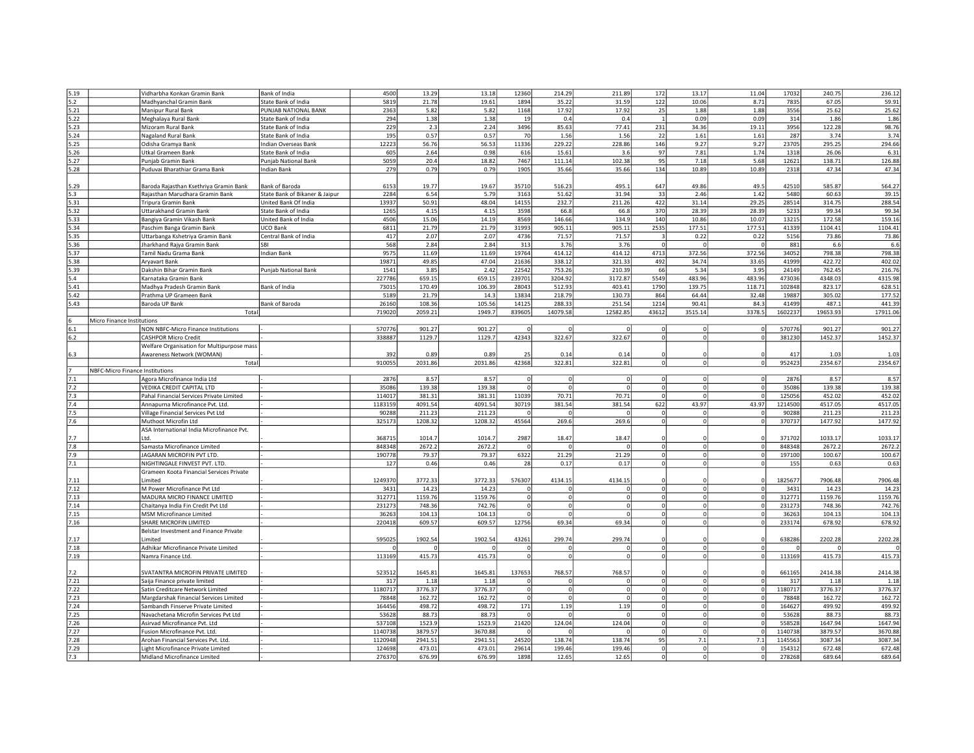| 5.19  | Vidharbha Konkan Gramin Bank               | Bank of India                  | 4500    | 13.29   | 13.18   | 12360    | 214.29       | 211.89         | 172            | 13.17       | 11.04       | 17032   | 240.75   | 236.12   |
|-------|--------------------------------------------|--------------------------------|---------|---------|---------|----------|--------------|----------------|----------------|-------------|-------------|---------|----------|----------|
| 5.2   | Madhyanchal Gramin Bank                    | State Bank of India            | 5819    | 21.78   | 19.61   | 1894     | 35.22        | 31.59          | 122            | 10.06       | 8.71        | 7835    | 67.05    | 59.91    |
| 5.21  | Manipur Rural Bank                         | PUNJAB NATIONAL BANK           | 2363    | 5.82    | 5.82    | 1168     | 17.92        | 17.92          | 25             | 1.88        | 1.88        | 3556    | 25.62    | 25.62    |
| 5.22  |                                            | State Bank of India            | 294     | 1.38    | 1.38    | 19       | 0.4          | 0.4            | 1              | 0.09        | 0.09        | 314     | 1.86     | 1.86     |
|       | Meghalaya Rural Bank                       |                                |         |         |         |          |              |                |                |             |             |         |          |          |
| 5.23  | Mizoram Rural Bank                         | State Bank of India            | 229     | 2.3     | 2.24    | 3496     | 85.63        | 77.41          | 231            | 34.36       | 19.11       | 3956    | 122.28   | 98.76    |
| 5.24  | Nagaland Rural Bank                        | State Bank of India            | 195     | 0.57    | 0.57    | 70       | 1.56         | 1.56           | 22             | 1.61        | 1.61        | 287     | 3.74     | 3.74     |
| 5.25  | Odisha Gramya Bank                         | Indian Overseas Bank           | 12223   | 56.76   | 56.53   | 11336    | 229.22       | 228.86         | 146            | 9.27        | 9.27        | 23705   | 295.25   | 294.66   |
| 5.26  | Utkal Grameen Bank                         | State Bank of India            | 605     | 2.64    | 0.98    | 616      | 15.61        | 3.6            | 97             | 7.81        | 1.74        | 1318    | 26.06    | 6.31     |
| 5.27  | Punjab Gramin Bank                         | Punjab National Bank           | 5059    | 20.4    | 18.82   | 7467     | 111.14       | 102.38         | 95             | 7.18        | 5.68        | 12621   | 138.71   | 126.88   |
| 5.28  | Puduvai Bharathiar Grama Bank              | <b>Indian Bank</b>             | 279     | 0.79    | 0.79    | 1905     | 35.66        | 35.66          | 134            | 10.89       | 10.89       | 2318    | 47.34    | 47.34    |
|       |                                            |                                |         |         |         |          |              |                |                |             |             |         |          |          |
| 5.29  | Baroda Rajasthan Ksethriya Gramin Bank     | Bank of Baroda                 | 6153    | 19.77   | 19.67   | 35710    | 516.23       | 495.1          | 647            | 49.86       | 49.5        | 42510   | 585.87   | 564.27   |
| 5.3   | Rajasthan Marudhara Gramin Bank            | State Bank of Bikaner & Jaipur | 2284    | 6.54    | 5.79    | 3163     | 51.62        | 31.94          | 33             | 2.46        | 1.42        | 5480    | 60.63    | 39.15    |
| 5.31  | Tripura Gramin Bank                        | United Bank Of India           | 13937   | 50.91   | 48.04   | 14155    | 232.7        | 211.26         | 422            | 31.14       | 29.25       | 28514   | 314.75   | 288.54   |
| 5.32  | Uttarakhand Gramin Bank                    | State Bank of India            | 1265    | 4.15    | 4.15    | 3598     | 66.8         | 66.8           | 370            | 28.39       | 28.39       | 5233    | 99.34    | 99.34    |
| 5.33  | Bangiya Gramin Vikash Bank                 | United Bank of India           | 4506    | 15.06   | 14.19   | 8569     | 146.66       | 134.9          | 140            | 10.86       | 10.07       | 13215   | 172.58   | 159.16   |
| 5.34  | Paschim Banga Gramin Bank                  | UCO Bank                       | 6811    | 21.79   | 21.79   | 31993    | 905.11       | 905.11         | 2535           | 177.51      | 177.51      | 41339   | 1104.41  | 1104.41  |
| 5.35  | Uttarbanga Kshetriya Gramin Bank           | Central Bank of India          | 417     | 2.07    | 2.07    | 4736     | 71.57        | 71.57          | 3 <sup>1</sup> | 0.22        | 0.22        | 5156    | 73.86    | 73.86    |
| 5.36  | Jharkhand Rajya Gramin Bank                | SBI                            | 568     | 2.84    | 2.84    | 313      | 3.76         | 3.76           | $\Omega$       |             |             | 881     | 6.6      | 6.6      |
| 5.37  | Tamil Nadu Grama Bank                      | <b>Indian Bank</b>             | 9575    | 11.69   | 11.69   | 19764    | 414.12       | 414.12         | 4713           | 372.56      | 372.56      | 34052   | 798.38   | 798.38   |
| 5.38  | Aryavart Bank                              |                                | 19871   | 49.85   | 47.04   | 21636    | 338.12       | 321.33         | 492            | 34.74       | 33.65       | 41999   | 422.72   | 402.02   |
| 5.39  | Dakshin Bihar Gramin Bank                  |                                | 1541    | 3.85    | 2.42    | 22542    | 753.26       | 210.39         | 66             | 5.34        | 3.95        | 24149   | 762.45   | 216.76   |
| 5.4   |                                            | Punjab National Bank           | 227786  | 659.15  | 659.15  | 239701   | 3204.92      | 3172.87        | 5549           | 483.96      | 483.96      | 473036  | 4348.03  | 4315.98  |
|       | Karnataka Gramin Bank                      |                                |         |         |         |          |              |                |                |             |             |         |          |          |
| 5.41  | Madhya Pradesh Gramin Bank                 | Bank of India                  | 73015   | 170.49  | 106.39  | 28043    | 512.93       | 403.41         | 1790           | 139.75      | 118.71      | 102848  | 823.17   | 628.51   |
| 5.42  | Prathma UP Grameen Bank                    |                                | 5189    | 21.79   | 14.3    | 13834    | 218.79       | 130.73         | 864            | 64.44       | 32.48       | 19887   | 305.02   | 177.52   |
| 5.43  | Baroda UP Bank                             | Bank of Baroda                 | 26160   | 108.36  | 105.56  | 14125    | 288.33       | 251.54         | 1214           | 90.41       | 84.3        | 41499   | 487.1    | 441.39   |
|       | Total                                      |                                | 719020  | 2059.21 | 1949.7  | 839605   | 14079.58     | 12582.85       | 43612          | 3515.14     | 3378.5      | 1602237 | 19653.93 | 17911.06 |
|       | Micro Finance Institutions                 |                                |         |         |         |          |              |                |                |             |             |         |          |          |
| 6.1   | NON NBFC-Micro Finance Institutions        |                                | 570776  | 901.27  | 901.27  | $\Omega$ | $\Omega$     | $\Omega$       | 0              | $\Omega$    | $\Omega$    | 570776  | 901.27   | 901.27   |
| $6.2$ | <b>CASHPOR Micro Credit</b>                |                                | 338887  | 1129.7  | 1129.7  | 42343    | 322.67       | 322.67         | $\mathbf 0$    |             |             | 381230  | 1452.37  | 1452.37  |
|       | Welfare Organisation for Multipurpose mass |                                |         |         |         |          |              |                |                |             |             |         |          |          |
| 6.3   | Awareness Network (WOMAN)                  |                                | 392     | 0.89    | 0.89    | 25       | 0.14         | 0.14           | $\Omega$       |             |             | 417     | 1.03     | 1.03     |
|       | Total                                      |                                | 910055  | 2031.86 | 2031.86 | 42368    | 322.81       | 322.81         | οl             | $\mathbf 0$ | 0           | 952423  | 2354.67  | 2354.67  |
|       | NBFC-Micro Finance Institutions            |                                |         |         |         |          |              |                |                |             |             |         |          |          |
| 7.1   | Agora Microfinance India Ltd               |                                | 2876    | 8.57    | 8.57    | $\Omega$ | $\Omega$     | 0              | 0              | $\Omega$    | $\mathbf 0$ | 2876    | 8.57     | 8.57     |
| 7.2   | VEDIKA CREDIT CAPITAL LTD                  |                                | 35086   | 139.38  | 139.38  | $\Omega$ | $\Omega$     | $\Omega$       | ΩI             |             | $\Omega$    | 35086   | 139.38   | 139.38   |
| 7.3   | Pahal Financial Services Private Limited   |                                | 114017  | 381.31  | 381.31  | 11039    | 70.71        | 70.71          | 0              | $\Omega$    | $\Omega$    | 125056  | 452.02   | 452.02   |
| 7.4   | Annapurna Microfinance Pvt. Ltd.           |                                | 1183159 | 4091.54 | 4091.54 | 30719    | 381.54       | 381.54         | 622            | 43.97       | 43.97       | 1214500 | 4517.05  | 4517.05  |
| 7.5   | Village Financial Services Pvt Ltd         |                                | 90288   | 211.23  | 211.23  | $\Omega$ |              | $\Omega$       | 0              | $\Omega$    |             | 90288   | 211.23   | 211.23   |
| 7.6   |                                            |                                | 325173  | 1208.32 | 1208.32 | 45564    | 269.6        | 269.6          | 0              | $\Omega$    | $\Omega$    | 370737  | 1477.92  | 1477.92  |
|       | Muthoot Microfin Ltd                       |                                |         |         |         |          |              |                |                |             |             |         |          |          |
|       | ASA International India Microfinance Pvt.  |                                |         |         |         |          |              |                |                |             |             |         |          |          |
| 7.7   | ht I                                       |                                | 368715  | 1014.7  | 1014.7  | 2987     | 18.47        | 18.47          | $\Omega$       |             |             | 371702  | 1033.17  | 1033.17  |
| 7.8   | Samasta Microfinance Limited               |                                | 848348  | 2672.2  | 2672.2  |          |              |                | $\mathbf 0$    | $\Omega$    | $\Omega$    | 848348  | 2672.2   | 2672.2   |
| 7.9   | JAGARAN MICROFIN PVT LTD.                  |                                | 190778  | 79.37   | 79.37   | 6322     | 21.29        | 21.29          | ΩI             | $\Omega$    | $\Omega$    | 197100  | 100.67   | 100.67   |
| 7.1   | NIGHTINGALE FINVEST PVT. LTD.              |                                | 127     | 0.46    | 0.46    | 28       | 0.17         | 0.17           | ΩI             | $\Omega$    | $\Omega$    | 155     | 0.63     | 0.63     |
|       | Grameen Koota Financial Services Private   |                                |         |         |         |          |              |                |                |             |             |         |          |          |
| 7.11  | Limited                                    |                                | 1249370 | 3772.33 | 3772.33 | 576307   | 4134.15      | 4134.15        |                |             |             | 1825677 | 7906.48  | 7906.48  |
| 7.12  | M Power Microfinance Pvt Ltd               |                                | 3431    | 14.23   | 14.23   |          | $\Omega$     | $\Omega$       | $\Omega$       | $\Omega$    | $\Omega$    | 3431    | 14.23    | 14.23    |
| 7.13  | MADURA MICRO FINANCE LIMITED               |                                | 312771  | 1159.76 | 1159.76 | $\Omega$ | $\Omega$     | $\Omega$       | $\Omega$       | $\Omega$    | $\Omega$    | 312771  | 1159.76  | 1159.76  |
| 7.14  | Chaitanya India Fin Credit Pvt Ltd         |                                | 231273  | 748.36  | 742.76  | $\Omega$ | $\mathbf{0}$ | $\overline{0}$ | $\Omega$       | $\mathbf 0$ | $\Omega$    | 231273  | 748.36   | 742.76   |
| 7.15  | <b>MSM Microfinance Limited</b>            |                                | 36263   | 104.13  | 104.13  | $\Omega$ | $\Omega$     | $\Omega$       | $\Omega$       | $\Omega$    | $\Omega$    | 36263   | 104.13   | 104.13   |
| 7.16  | SHARE MICROFIN LIMITED                     |                                | 220418  | 609.57  | 609.57  | 12756    | 69.34        | 69.34          | ΩI             | $\Omega$    | $\Omega$    | 233174  | 678.92   | 678.92   |
|       | Belstar Investment and Finance Private     |                                |         |         |         |          |              |                |                |             |             |         |          |          |
| 7.17  | .imited                                    |                                | 59502   | 1902.54 | 1902.54 | 43261    | 299.74       | 299.74         |                |             |             | 638286  | 2202.28  | 2202.28  |
| 7.18  | Adhikar Microfinance Private Limited       |                                |         |         |         | n        |              | $\Omega$       | $\Omega$       | $\Omega$    |             | ſ       |          |          |
| 7.19  | Namra Finance Ltd.                         |                                | 113169  | 415.73  | 415.73  | $\Omega$ | $\Omega$     | $\Omega$       | 0              | $\Omega$    |             | 113169  | 415.73   | 415.73   |
|       |                                            |                                |         |         |         |          |              |                |                |             |             |         |          |          |
| 7.2   | SVATANTRA MICROFIN PRIVATE LIMITED         |                                | 523512  | 1645.81 | 1645.81 | 137653   | 768.57       | 768.57         |                |             |             | 661165  | 2414.38  | 2414.38  |
|       |                                            |                                |         |         |         |          |              | $\Omega$       | $\Omega$       |             |             |         |          |          |
| 7.21  | Saija Finance private limited              |                                | 317     | 1.18    | 1.18    |          | $\Omega$     |                |                | $\Omega$    |             | 317     | 1.18     | 1.18     |
| 7.22  | Satin Creditcare Network Limited           |                                | 1180717 | 3776.37 | 3776.37 | $\Omega$ | $\Omega$     | $\Omega$       | Ω              | $\mathbf 0$ | $\Omega$    | 1180717 | 3776.37  | 3776.37  |
| 7.23  | Margdarshak Financial Services Limited     |                                | 78848   | 162.72  | 162.72  | $\Omega$ | $\Omega$     | $\Omega$       | 0              | $\Omega$    | $\Omega$    | 78848   | 162.72   | 162.72   |
| 7.24  | Sambandh Finserve Private Limited          |                                | 164456  | 498.72  | 498.72  | 171      | 1.19         | 1.19           | ΩI             | $\Omega$    |             | 164627  | 499.92   | 499.92   |
| 7.25  | Navachetana Microfin Services Pvt Ltd      |                                | 53628   | 88.73   | 88.73   |          |              | $\Omega$       | 0              | $\Omega$    | $\Omega$    | 53628   | 88.73    | 88.73    |
| 7.26  | Asirvad Microfinance Pvt. Ltd              |                                | 537108  | 1523.9  | 1523.9  | 21420    | 124.04       | 124.04         | $\Omega$       | $\Omega$    |             | 558528  | 1647.94  | 1647.94  |
| 7.27  | Fusion Microfinance Pvt. Ltd.              |                                | 1140738 | 3879.57 | 3670.88 |          |              | $\Omega$       | ΩI             | $\Omega$    |             | 1140738 | 3879.57  | 3670.88  |
| 7.28  | Arohan Financial Services Pvt. Ltd         |                                | 1120948 | 2941.51 | 2941.51 | 24520    | 138.74       | 138.74         | 95             | 7.1         | 7.1         | 1145563 | 3087.34  | 3087.34  |
| 7.29  | Light Microfinance Private Limited         |                                | 124698  | 473.01  | 473.01  | 29614    | 199.46       | 199.46         | 0              | $\Omega$    | $\Omega$    | 154312  | 672.48   | 672.48   |
| 7.3   | Midland Microfinance Limited               |                                | 276370  | 676.99  | 676.99  | 1898     | 12.65        | 12.65          | Ω              | $\Omega$    | 0           | 278268  | 689.64   | 689.64   |